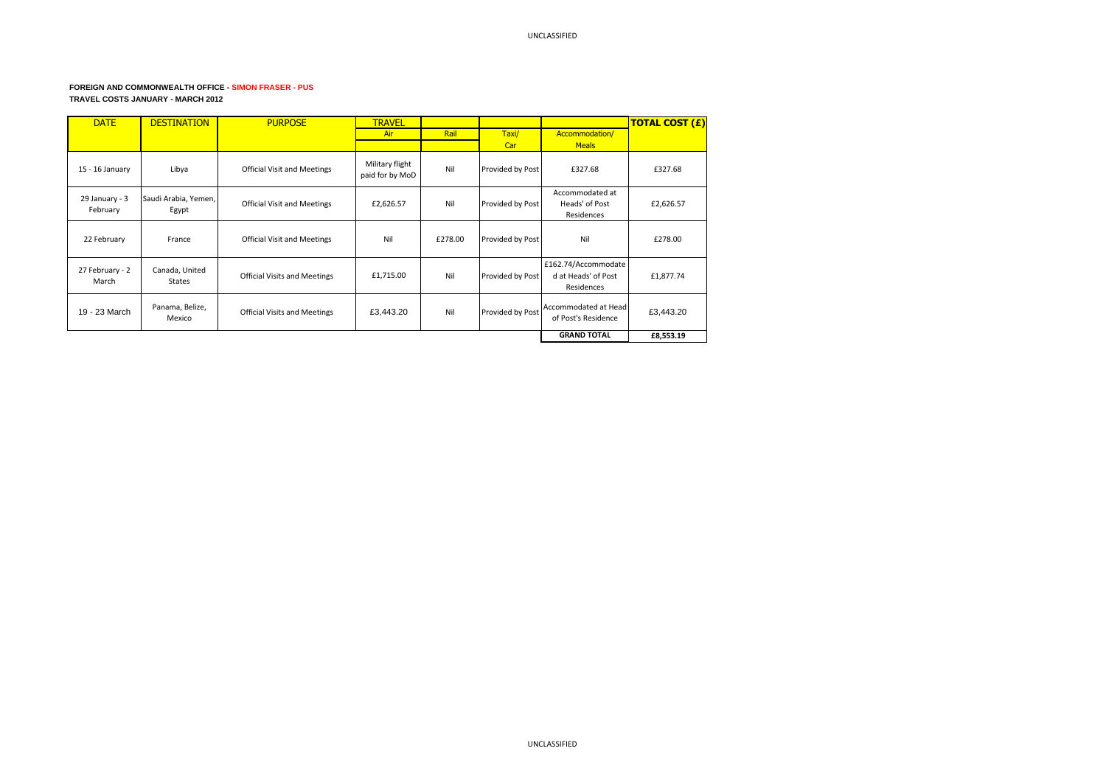## **FOREIGN AND COMMONWEALTH OFFICE - SIMON FRASER - PUS TRAVEL COSTS JANUARY - MARCH 2012**

| <b>DATE</b>                | <b>DESTINATION</b>              | <b>PURPOSE</b>                      | <b>TRAVEL</b>                      |         |                  |                                                          | <b>TOTAL COST (£)</b> |
|----------------------------|---------------------------------|-------------------------------------|------------------------------------|---------|------------------|----------------------------------------------------------|-----------------------|
|                            |                                 |                                     | Air                                | Rail    | Taxi/            | Accommodation/                                           |                       |
|                            |                                 |                                     |                                    |         | Car              | <b>Meals</b>                                             |                       |
| 15 - 16 January            | Libya                           | <b>Official Visit and Meetings</b>  | Military flight<br>paid for by MoD | Nil     | Provided by Post | £327.68                                                  | £327.68               |
| 29 January - 3<br>February | Saudi Arabia, Yemen,<br>Egypt   | <b>Official Visit and Meetings</b>  | £2,626.57                          | Nil     | Provided by Post | Accommodated at<br>Heads' of Post<br>Residences          | £2,626.57             |
| 22 February                | France                          | <b>Official Visit and Meetings</b>  | Nil                                | £278.00 | Provided by Post | Nil                                                      | £278.00               |
| 27 February - 2<br>March   | Canada, United<br><b>States</b> | <b>Official Visits and Meetings</b> | £1,715.00                          | Nil     | Provided by Post | £162.74/Accommodate<br>d at Heads' of Post<br>Residences | £1,877.74             |
| 19 - 23 March              | Panama, Belize,<br>Mexico       | <b>Official Visits and Meetings</b> | £3,443.20                          | Nil     | Provided by Post | Accommodated at Head<br>of Post's Residence              | £3,443.20             |
|                            |                                 |                                     |                                    |         |                  | <b>GRAND TOTAL</b>                                       | £8,553.19             |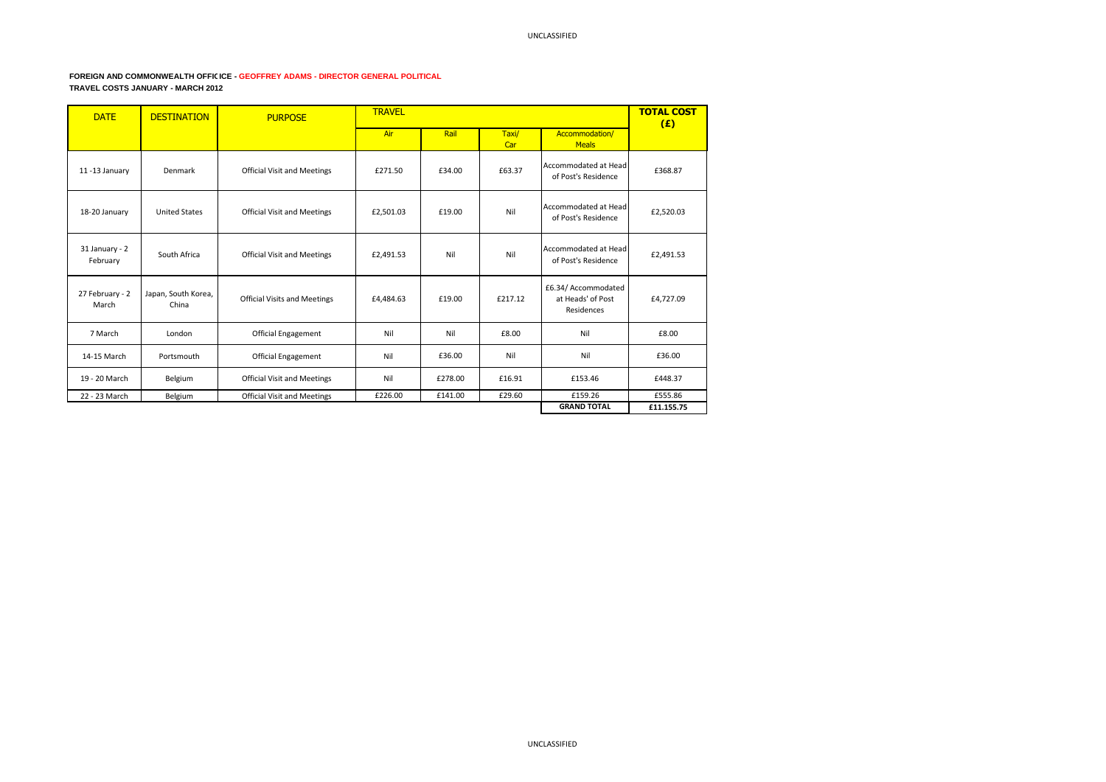## FOREIGN AND COMMONWEALTH OFFICICE - GEOFFREY ADAMS - DIRECTOR GENERAL POLITICAL **TRAVEL COSTS JANUARY - MARCH 2012**

| <b>DATE</b>                | <b>DESTINATION</b>           | <b>PURPOSE</b>                      | <b>TRAVEL</b> |         |              |                                                               | <b>TOTAL COST</b><br>(E) |
|----------------------------|------------------------------|-------------------------------------|---------------|---------|--------------|---------------------------------------------------------------|--------------------------|
|                            |                              |                                     | Air           | Rail    | Taxi/<br>Car | Accommodation/<br><b>Meals</b>                                |                          |
| 11-13 January              | Denmark                      | <b>Official Visit and Meetings</b>  | £271.50       | £34.00  | £63.37       | Accommodated at Head<br>of Post's Residence                   | £368.87                  |
| 18-20 January              | <b>United States</b>         | <b>Official Visit and Meetings</b>  | £2,501.03     | £19.00  | Nil          | Accommodated at Head<br>of Post's Residence                   | £2,520.03                |
| 31 January - 2<br>February | South Africa                 | <b>Official Visit and Meetings</b>  | £2,491.53     | Nil     | Nil          | Accommodated at Head<br>of Post's Residence                   | £2,491.53                |
| 27 February - 2<br>March   | Japan, South Korea,<br>China | <b>Official Visits and Meetings</b> | £4.484.63     | £19.00  | £217.12      | £6.34/ Accommodated<br>at Heads' of Post<br><b>Residences</b> | £4,727.09                |
| 7 March                    | London                       | <b>Official Engagement</b>          | Nil           | Nil     | £8.00        | Nil                                                           | £8.00                    |
| 14-15 March                | Portsmouth                   | <b>Official Engagement</b>          | Nil           | £36.00  | Nil          | Nil                                                           | £36.00                   |
| 19 - 20 March              | Belgium                      | <b>Official Visit and Meetings</b>  | Nil           | £278.00 | £16.91       | £153.46                                                       | £448.37                  |
| 22 - 23 March              | Belgium                      | <b>Official Visit and Meetings</b>  | £226.00       | £141.00 | £29.60       | £159.26<br><b>GRAND TOTAL</b>                                 | £555.86<br>£11.155.75    |
|                            |                              |                                     |               |         |              |                                                               |                          |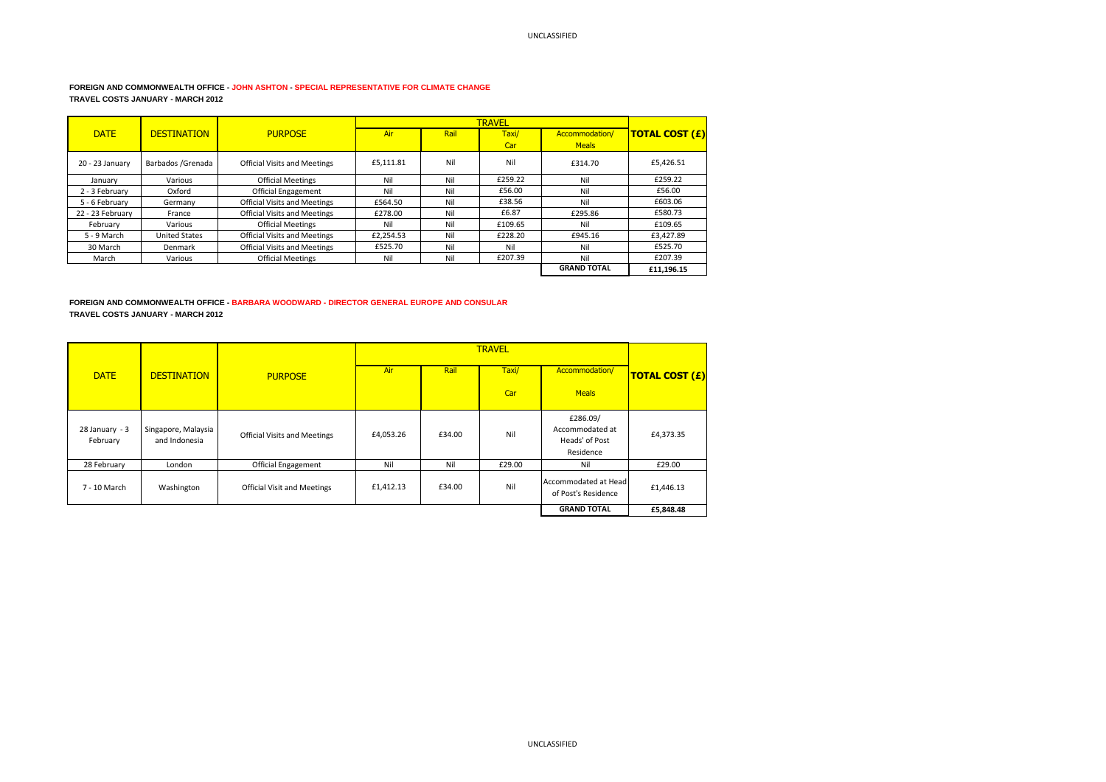## **FOREIGN AND COMMONWEALTH OFFICE - JOHN ASHTON - SPECIAL REPRESENTATIVE FOR CLIMATE CHANGE TRAVEL COSTS JANUARY - MARCH 2012**

|                  |                      |                                     |           |      | <b>TRAVEL</b> |                    |                       |
|------------------|----------------------|-------------------------------------|-----------|------|---------------|--------------------|-----------------------|
| <b>DATE</b>      | <b>DESTINATION</b>   | <b>PURPOSE</b>                      | Air       | Rail | Taxi/         | Accommodation/     | <b>TOTAL COST (£)</b> |
|                  |                      |                                     |           |      | Car           | <b>Meals</b>       |                       |
| 20 - 23 January  | Barbados / Grenada   | <b>Official Visits and Meetings</b> | £5,111.81 | Nil  | Nil           | £314.70            | £5,426.51             |
| January          | Various              | <b>Official Meetings</b>            | Nil       | Nil  | £259.22       | Nil                | £259.22               |
| 2 - 3 February   | Oxford               | <b>Official Engagement</b>          | Nil       | Nil  | £56.00        | Nil                | £56.00                |
| 5 - 6 February   | Germany              | <b>Official Visits and Meetings</b> | £564.50   | Nil  | £38.56        | Nil                | £603.06               |
| 22 - 23 February | France               | <b>Official Visits and Meetings</b> | £278.00   | Nil  | £6.87         | £295.86            | £580.73               |
| February         | Various              | <b>Official Meetings</b>            | Nil       | Nil  | £109.65       | Nil                | £109.65               |
| 5 - 9 March      | <b>United States</b> | <b>Official Visits and Meetings</b> | £2.254.53 | Nil  | £228.20       | £945.16            | £3.427.89             |
| 30 March         | Denmark              | <b>Official Visits and Meetings</b> | £525.70   | Nil  | Nil           | Nil                | £525.70               |
| March            | Various              | <b>Official Meetings</b>            | Nil       | Nil  | £207.39       | Nil                | £207.39               |
|                  |                      |                                     |           |      |               | <b>GRAND TOTAL</b> | £11.196.15            |

## **FOREIGN AND COMMONWEALTH OFFICE - BARBARA WOODWARD - DIRECTOR GENERAL EUROPE AND CONSULAR TRAVEL COSTS JANUARY - MARCH 2012**

| <b>DATE</b>                  | <b>DESTINATION</b>                   | <b>PURPOSE</b>                      | <b>Air</b> | Rail   | Taxi/  | Accommodation/                                             | <b>TOTAL COST (£)</b> |
|------------------------------|--------------------------------------|-------------------------------------|------------|--------|--------|------------------------------------------------------------|-----------------------|
|                              |                                      |                                     |            |        | Car    | <b>Meals</b>                                               |                       |
| $28$ January - 3<br>February | Singapore, Malaysia<br>and Indonesia | <b>Official Visits and Meetings</b> | £4,053.26  | £34.00 | Nil    | £286.09/<br>Accommodated at<br>Heads' of Post<br>Residence | £4,373.35             |
| 28 February                  | London                               | <b>Official Engagement</b>          | Nil        | Nil    | £29.00 | Nil                                                        | £29.00                |
| 7 - 10 March                 | Washington                           | <b>Official Visit and Meetings</b>  | £1,412.13  | £34.00 | Nil    | Accommodated at Head<br>of Post's Residence                | £1,446.13             |
|                              |                                      |                                     |            |        |        | <b>GRAND TOTAL</b>                                         | £5,848.48             |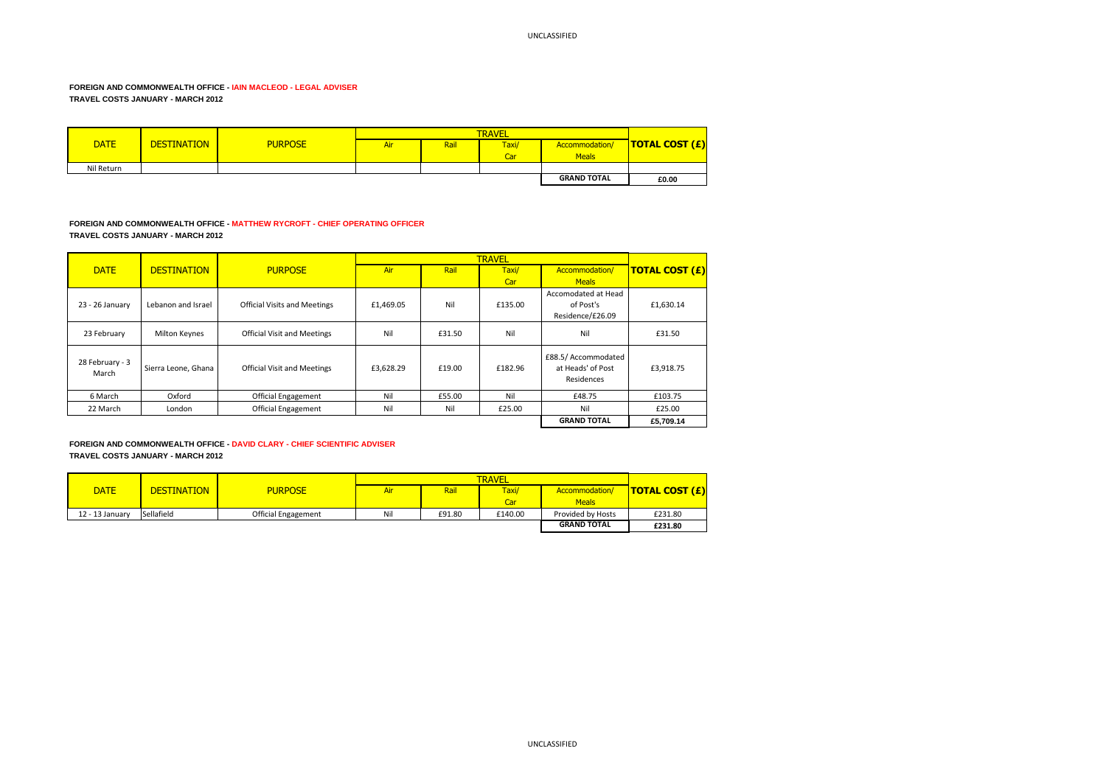# **FOREIGN AND COMMONWEALTH OFFICE - IAIN MACLEOD - LEGAL ADVISER TRAVEL COSTS JANUARY - MARCH 2012**

| <b>DATE</b> | <b>DESTINATION</b> | <b>PURPOSE</b> | Air | Rail | Taxi/ | Accommodation/     | TOTAL COST (£) |
|-------------|--------------------|----------------|-----|------|-------|--------------------|----------------|
|             |                    |                |     |      | Car   | <b>Meals</b>       |                |
| Nil Return  |                    |                |     |      |       |                    |                |
|             |                    |                |     |      |       | <b>GRAND TOTAL</b> | £0.00          |

# **FOREIGN AND COMMONWEALTH OFFICE - MATTHEW RYCROFT - CHIEF OPERATING OFFICER TRAVEL COSTS JANUARY - MARCH 2012**

|                          |                      |                                     |           |        | <b>TRAVEL</b> |                                                        |                       |
|--------------------------|----------------------|-------------------------------------|-----------|--------|---------------|--------------------------------------------------------|-----------------------|
| <b>DATE</b>              | <b>DESTINATION</b>   | <b>PURPOSE</b>                      | Air       | Rail   | Taxi/         | Accommodation/                                         | <b>TOTAL COST (£)</b> |
|                          |                      |                                     |           |        | Car           | <b>Meals</b>                                           |                       |
|                          |                      |                                     |           |        |               | Accomodated at Head                                    |                       |
| 23 - 26 January          | Lebanon and Israel   | <b>Official Visits and Meetings</b> | £1,469.05 | Nil    | £135.00       | of Post's                                              | £1,630.14             |
|                          |                      |                                     |           |        |               | Residence/£26.09                                       |                       |
| 23 February              | <b>Milton Keynes</b> | <b>Official Visit and Meetings</b>  | Nil       | £31.50 | Nil           | Nil                                                    | £31.50                |
|                          |                      |                                     |           |        |               |                                                        |                       |
| 28 February - 3<br>March | Sierra Leone, Ghana  | <b>Official Visit and Meetings</b>  | £3,628.29 | £19.00 | £182.96       | £88.5/ Accommodated<br>at Heads' of Post<br>Residences | £3,918.75             |
| 6 March                  | Oxford               | <b>Official Engagement</b>          | Nil       | £55.00 | Nil           | £48.75                                                 | £103.75               |
| 22 March                 | London               | <b>Official Engagement</b>          | Nil       | Nil    | £25.00        | Nil                                                    | £25.00                |
|                          |                      |                                     |           |        |               | <b>GRAND TOTAL</b>                                     | £5.709.14             |

**FOREIGN AND COMMONWEALTH OFFICE - DAVID CLARY - CHIEF SCIENTIFIC ADVISER TRAVEL COSTS JANUARY - MARCH 2012**

|                 |                    |                            |     | <b>TRAVEL</b> |         |                    |                                    |  |
|-----------------|--------------------|----------------------------|-----|---------------|---------|--------------------|------------------------------------|--|
| <b>DATE</b>     | <b>DESTINATION</b> | <b>PURPOSE</b>             | Air | Rail          | Taxi/   | Accommodation/     | <b>TOTAL COST <math>(E)</math></b> |  |
|                 |                    |                            |     |               | Car     | <b>Meals</b>       |                                    |  |
| 12 - 13 January | Sellafield         | <b>Official Engagement</b> | Nil | £91.80        | £140.00 | Provided by Hosts  | £231.80                            |  |
|                 |                    |                            |     |               |         | <b>GRAND TOTAL</b> | £231.80                            |  |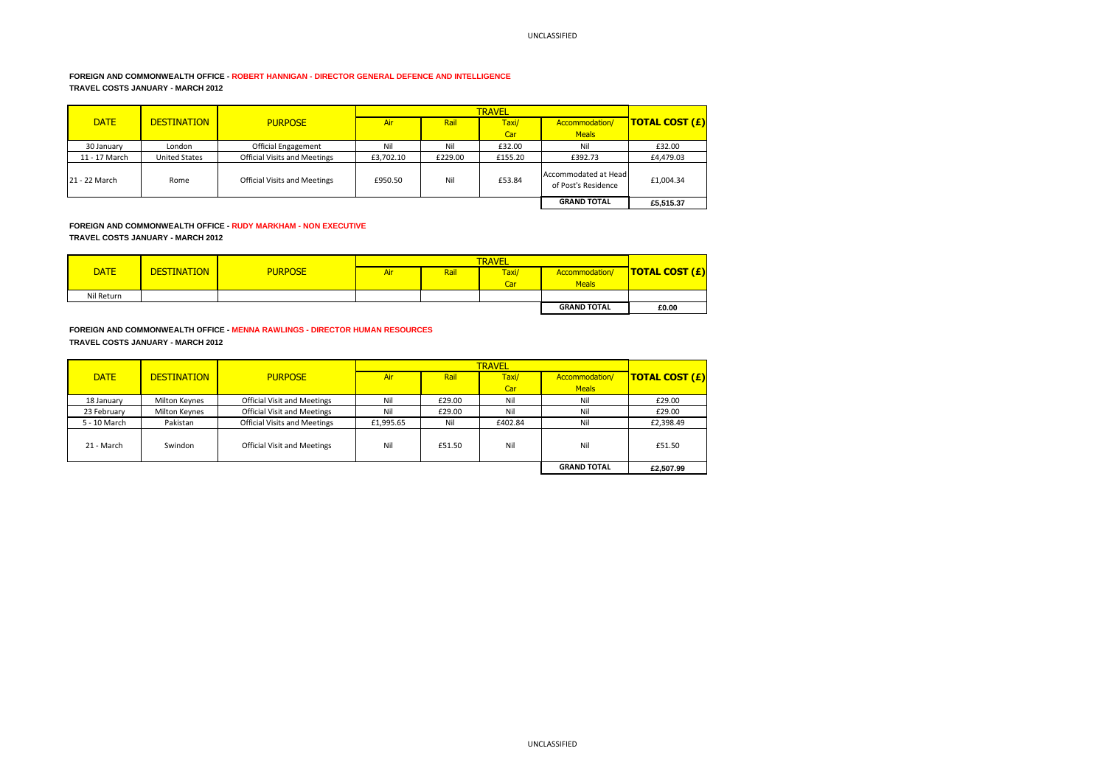# **FOREIGN AND COMMONWEALTH OFFICE - ROBERT HANNIGAN - DIRECTOR GENERAL DEFENCE AND INTELLIGENCE TRAVEL COSTS JANUARY - MARCH 2012**

| <b>DATE</b>   | <b>DESTINATION</b>   | <b>PURPOSE</b>                      | Air       | Rail    | Taxi/   | Accommodation/                              | <b>TOTAL COST (£)</b> |
|---------------|----------------------|-------------------------------------|-----------|---------|---------|---------------------------------------------|-----------------------|
|               |                      |                                     |           |         | Car     | <b>Meals</b>                                |                       |
| 30 January    | London               | <b>Official Engagement</b>          | Nil       | Nil     | £32.00  | Nil                                         | £32.00                |
| 11 - 17 March | <b>United States</b> | <b>Official Visits and Meetings</b> | £3.702.10 | £229.00 | £155.20 | £392.73                                     | £4,479.03             |
| 21 - 22 March | Rome                 | <b>Official Visits and Meetings</b> | £950.50   | Nil     | £53.84  | Accommodated at Head<br>of Post's Residence | £1,004.34             |
|               |                      |                                     |           |         |         | <b>GRAND TOTAL</b>                          | £5.515.37             |

**FOREIGN AND COMMONWEALTH OFFICE - RUDY MARKHAM - NON EXECUTIVE TRAVEL COSTS JANUARY - MARCH 2012**

|             |                    |                |     | <b>TRAVEL</b> |       |                    |                                    |  |
|-------------|--------------------|----------------|-----|---------------|-------|--------------------|------------------------------------|--|
| <b>DATE</b> | <b>DESTINATION</b> | <b>PURPOSE</b> | Air | Rail          | Taxi/ | Accommodation/     | <b>TOTAL COST <math>(E)</math></b> |  |
|             |                    |                |     |               | Car   | <b>Meals</b>       |                                    |  |
| Nil Return  |                    |                |     |               |       |                    |                                    |  |
|             |                    |                |     |               |       | <b>GRAND TOTAL</b> | £0.00                              |  |

**FOREIGN AND COMMONWEALTH OFFICE - MENNA RAWLINGS - DIRECTOR HUMAN RESOURCES TRAVEL COSTS JANUARY - MARCH 2012**

|              |                      |                                     |            | <b>TRAVEL</b> |         |                    |                       |  |
|--------------|----------------------|-------------------------------------|------------|---------------|---------|--------------------|-----------------------|--|
| <b>DATE</b>  | <b>DESTINATION</b>   | <b>PURPOSE</b>                      | <b>Air</b> | Rail          | Taxi/   | Accommodation/     | <b>TOTAL COST (£)</b> |  |
|              |                      |                                     |            |               | Car     | <b>Meals</b>       |                       |  |
| 18 January   | <b>Milton Keynes</b> | <b>Official Visit and Meetings</b>  | Nil        | £29.00        | Nil     | Nil                | £29.00                |  |
| 23 February  | Milton Keynes        | <b>Official Visit and Meetings</b>  | Nil        | £29.00        | Nil     | Nil                | £29.00                |  |
| 5 - 10 March | Pakistan             | <b>Official Visits and Meetings</b> | £1,995.65  | Nil           | £402.84 | Nil                | £2,398.49             |  |
| 21 - March   | Swindon              | <b>Official Visit and Meetings</b>  | Nil        | £51.50        | Nil     | Nil                | £51.50                |  |
|              |                      |                                     |            |               |         | <b>GRAND TOTAL</b> | £2.507.99             |  |